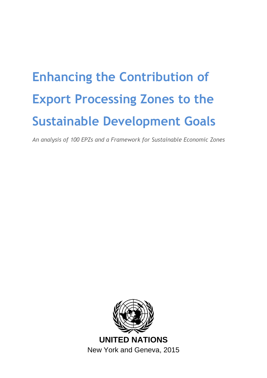# **Enhancing the Contribution of Export Processing Zones to the Sustainable Development Goals**

*An analysis of 100 EPZs and a Framework for Sustainable Economic Zones*

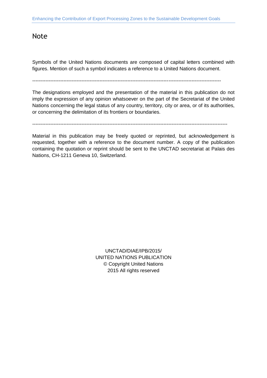### <span id="page-1-0"></span>Note

Symbols of the United Nations documents are composed of capital letters combined with figures. Mention of such a symbol indicates a reference to a United Nations document.

 $-$ 

The designations employed and the presentation of the material in this publication do not imply the expression of any opinion whatsoever on the part of the Secretariat of the United Nations concerning the legal status of any country, territory, city or area, or of its authorities, or concerning the delimitation of its frontiers or boundaries.

-----------------------------------------------------------------------------------------------------------------------

Material in this publication may be freely quoted or reprinted, but acknowledgement is requested, together with a reference to the document number. A copy of the publication containing the quotation or reprint should be sent to the UNCTAD secretariat at Palais des Nations, CH-1211 Geneva 10, Switzerland.

> UNCTAD/DIAE/IPB/2015/ UNITED NATIONS PUBLICATION © Copyright United Nations 2015 All rights reserved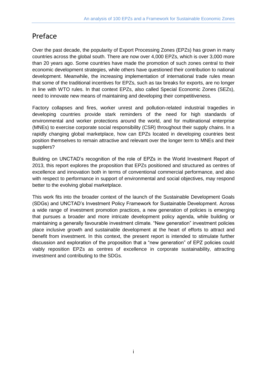# <span id="page-2-0"></span>Preface

Over the past decade, the popularity of Export Processing Zones (EPZs) has grown in many countries across the global south. There are now over 4,000 EPZs, which is over 3,000 more than 20 years ago. Some countries have made the promotion of such zones central to their economic development strategies, while others have questioned their contribution to national development. Meanwhile, the increasing implementation of international trade rules mean that some of the traditional incentives for EPZs, such as tax breaks for exports, are no longer in line with WTO rules. In that context EPZs, also called Special Economic Zones (SEZs), need to innovate new means of maintaining and developing their competitiveness.

Factory collapses and fires, worker unrest and pollution-related industrial tragedies in developing countries provide stark reminders of the need for high standards of environmental and worker protections around the world, and for multinational enterprise (MNEs) to exercise corporate social responsibility (CSR) throughout their supply chains. In a rapidly changing global marketplace, how can EPZs located in developing countries best position themselves to remain attractive and relevant over the longer term to MNEs and their suppliers?

Building on UNCTAD's recognition of the role of EPZs in the World Investment Report of 2013, this report explores the proposition that EPZs positioned and structured as centres of excellence and innovation both in terms of conventional commercial performance, and also with respect to performance in support of environmental and social objectives, may respond better to the evolving global marketplace.

This work fits into the broader context of the launch of the Sustainable Development Goals (SDGs) and UNCTAD's Investment Policy Framework for Sustainable Development. Across a wide range of investment promotion practices, a new generation of policies is emerging that pursues a broader and more intricate development policy agenda, while building or maintaining a generally favourable investment climate. "New generation" investment policies place inclusive growth and sustainable development at the heart of efforts to attract and benefit from investment. In this context, the present report is intended to stimulate further discussion and exploration of the proposition that a "new generation" of EPZ policies could viably reposition EPZs as centres of excellence in corporate sustainability, attracting investment and contributing to the SDGs.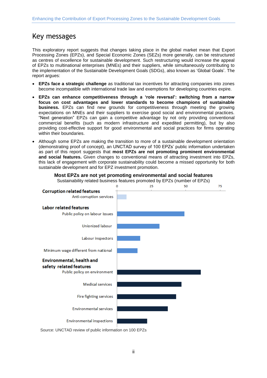# <span id="page-3-0"></span>Key messages

This exploratory report suggests that changes taking place in the global market mean that Export Processing Zones (EPZs), and Special Economic Zones (SEZs) more generally, can be restructured as centres of excellence for sustainable development. Such restructuring would increase the appeal of EPZs to multinational enterprises (MNEs) and their suppliers, while simultaneously contributing to the implementation of the Sustainable Development Goals (SDGs), also known as 'Global Goals'. The report argues:

- **EPZs face a strategic challenge** as traditional tax incentives for attracting companies into zones become incompatible with international trade law and exemptions for developing countries expire.
- **EPZs can enhance competitiveness through a 'role reversal': switching from a narrow focus on cost advantages and lower standards to become champions of sustainable business.** EPZs can find new grounds for competitiveness through meeting the growing expectations on MNEs and their suppliers to exercise good social and environmental practices. "Next generation" EPZs can gain a competitive advantage by not only providing conventional commercial benefits (such as modern infrastructure and expedited permitting), but by also providing cost-effective support for good environmental and social practices for firms operating within their boundaries.
- Although some EPZs are making the transition to more of a sustainable development orientation (demonstrating proof of concept), an UNCTAD survey of 100 EPZs' public information undertaken as part of this report suggests that **most EPZs are not promoting prominent environmental and social features.** Given changes to conventional means of attracting investment into EPZs, this lack of engagement with corporate sustainability could become a missed opportunity for both sustainable development and for EPZ investment promotion.





Source: UNCTAD review of public information on 100 EPZs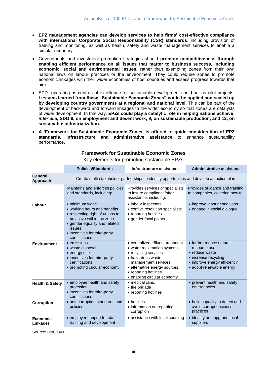- **EPZ management agencies can develop services to help firms' cost-effective compliance with international Corporate Social Responsibility (CSR) standards**, including provision of training and monitoring, as well as health, safety and waste management services to enable a circular economy.
- Governments and investment promotion strategies should **promote competitiveness through enabling efficient performance on all issues that matter to business success, including economic, social and environmental issues,** rather than exempting zones from their own national laws on labour practices or the environment. They could require zones to promote economic linkages with their wider economies of host countries and assess progress towards that aim.
- EPZs operating as centres of excellence for sustainable development could act as pilot projects. **Lessons learned from these "Sustainable Economic Zones" could be applied and scaled up by developing country governments at a regional and national level**. This can be part of the development of backward and forward linkages to the wider economy so that zones are catalysts of wider development. In that way, **EPZs could play a catalytic role in helping nations achieve,**  *inter alia***, SDG 8, on employment and decent work, 9, on sustainable production, and 12, on sustainable industrialization.**
- **A 'Framework for Sustainable Economic Zones' is offered to guide consideration of EPZ standards, infrastructure and administrative assistance** to enhance sustainability performance.

|                             | <b>Policies/Standards</b>                                                                                                                                                                                   | Infrastructure assistance                                                                                                                                                                                                  | <b>Administrative assistance</b>                                                                                                              |  |
|-----------------------------|-------------------------------------------------------------------------------------------------------------------------------------------------------------------------------------------------------------|----------------------------------------------------------------------------------------------------------------------------------------------------------------------------------------------------------------------------|-----------------------------------------------------------------------------------------------------------------------------------------------|--|
| General<br>Approach         | Create multi-stakeholder partnerships to identify opportunities and develop an action plan                                                                                                                  |                                                                                                                                                                                                                            |                                                                                                                                               |  |
|                             | Maintains and enforces policies<br>and standards, including:                                                                                                                                                | Provides services or specialists<br>to insure compliance/offer<br>assistance, including:                                                                                                                                   | Provides guidance and training<br>to companies, covering how to:                                                                              |  |
| Labour                      | • minimum wage<br>• working hours and benefits<br>• respecting right of unions to<br>be active within the zone<br>• gender equality and related<br>issues<br>• incentives for third-party<br>certifications | · labour inspectors<br>• conflict resolution specialists<br>• reporting hotlines<br>• gender focal points                                                                                                                  | • improve labour conditions<br>• engage in social dialogue                                                                                    |  |
| <b>Environment</b>          | $\bullet$ emissions<br>• waste disposal<br>• energy use<br>• incentives for third-party<br>certifications<br>• promoting circular economy                                                                   | • centralized effluent treatment<br>• water reclamation systems<br>• recycling services<br>• hazardous waste<br>management services<br>• alternative energy sources<br>• reporting hotlines<br>• enabling circular economy | • further reduce natural<br>resource use<br>• reduce waste<br>• increase recycling<br>• improve energy efficiency<br>• adopt renewable energy |  |
| <b>Health &amp; Safety</b>  | • employee health and safety<br>protection<br>• incentives for third-party<br>certifications                                                                                                                | • medical clinic<br>• fire brigade<br>• reporting hotlines                                                                                                                                                                 | • prevent health and safety<br>emergencies                                                                                                    |  |
| Corruption                  | • anti-corruption standards and<br>policies                                                                                                                                                                 | • hotlines<br>• information on reporting<br>corruption                                                                                                                                                                     | • build capacity to detect and<br>avoid corrupt business<br>practices                                                                         |  |
| Economic<br><b>Linkages</b> | • employer support for staff<br>training and development                                                                                                                                                    | • assistance with local sourcing                                                                                                                                                                                           | • identify and upgrade local<br>suppliers                                                                                                     |  |

### **Framework for Sustainable Economic Zones**

Key elements for promoting sustainable EPZs

Source: UNCTAD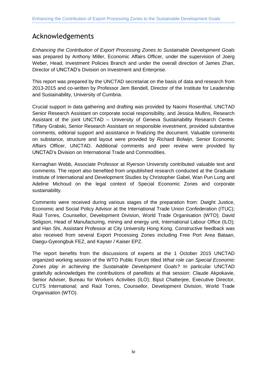# <span id="page-5-0"></span>Acknowledgements

*Enhancing the Contribution of Export Processing Zones to Sustainable Development Goals* was prepared by Anthony Miller, Economic Affairs Officer, under the supervision of Joerg Weber, Head, Investment Policies Branch and under the overall direction of James Zhan, Director of UNCTAD's Division on Investment and Enterprise.

This report was prepared by the UNCTAD secretariat on the basis of data and research from 2013-2015 and co-written by Professor Jem Bendell, Director of the Institute for Leadership and Sustainability, University of Cumbria.

Crucial support in data gathering and drafting was provided by Naomi Rosenthal, UNCTAD Senior Research Assistant on corporate social responsibility, and Jessica Mullins, Research Assistant of the joint UNCTAD – University of Geneva Sustainability Research Centre. Tiffany Grabski, Senior Research Assistant on responsible investment, provided substantive comments, editorial support and assistance in finalizing the document. Valuable comments on substance, structure and layout were provided by Richard Bolwijn, Senior Economic Affairs Officer, UNCTAD. Additional comments and peer review were provided by UNCTAD's Division on International Trade and Commodities.

Kernaghan Webb, Associate Professor at Ryerson University contributed valuable text and comments. The report also benefited from unpublished research conducted at the Graduate Institute of International and Development Studies by Christopher Gabel, Wan Pun Lung and Adeline Michoud on the legal context of Special Economic Zones and corporate sustainability.

Comments were received during various stages of the preparation from: Dwight Justice, Economic and Social Policy Advisor at the International Trade Union Confederation (ITUC); Raúl Torres, Counsellor, Development Division, World Trade Organisation (WTO); David Seligson, Head of Manufacturing, mining and energy unit, International Labour Office (ILO); and Han Shi, Assistant Professor at City University Hong Kong. Constructive feedback was also received from several Export Processing Zones including Free Port Area Bataan, Daegu-Gyeongbuk FEZ, and Kayser / Kaiser EPZ.

The report benefits from the discussions of experts at the 1 October 2015 UNCTAD organized working session of the WTO Public Forum titled *What role can Special Economic Zones play in achieving the Sustainable Development Goals?* In particular UNCTAD gratefully acknowledges the contributions of panellists at that session: Claude Akpokavie, Senior Adviser, Bureau for Workers Activities (ILO); Bipul Chatterjee, Executive Director, CUTS International; and Raúl Torres, Counsellor, Development Division, World Trade Organisation (WTO).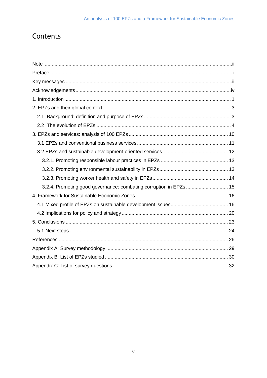# Contents

| 3.2.4. Promoting good governance: combating corruption in EPZs  15 |  |
|--------------------------------------------------------------------|--|
|                                                                    |  |
|                                                                    |  |
|                                                                    |  |
|                                                                    |  |
|                                                                    |  |
|                                                                    |  |
|                                                                    |  |
|                                                                    |  |
|                                                                    |  |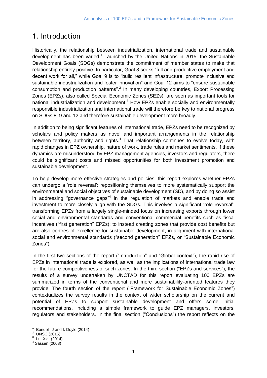# <span id="page-8-0"></span>1. Introduction

Historically, the relationship between industrialization, international trade and sustainable development has been varied.<sup>1</sup> Launched by the United Nations in 2015, the Sustainable Development Goals (SDGs) demonstrate the commitment of member states to make that relationship entirely positive. In particular, Goal 8 seeks "full and productive employment and decent work for all," while Goal 9 is to "build resilient infrastructure, promote inclusive and sustainable industrialization and foster innovation" and Goal 12 aims to "ensure sustainable consumption and production patterns".<sup>2</sup> In many developing countries, Export Processing Zones (EPZs), also called Special Economic Zones (SEZs), are seen as important tools for national industrialization and development.<sup>3</sup> How EPZs enable socially and environmentally responsible industrialization and international trade will therefore be key to national progress on SDGs 8, 9 and 12 and therefore sustainable development more broadly.

In addition to being significant features of international trade, EPZs need to be recognized by scholars and policy makers as novel and important arrangements in the relationship between territory, authority and rights.<sup>4</sup> That relationship continues to evolve today, with rapid changes in EPZ ownership, nature of work, trade rules and market sentiments. If these dynamics are misunderstood by EPZ management agencies, investors and regulators, there could be significant costs and missed opportunities for both investment promotion and sustainable development.

To help develop more effective strategies and policies, this report explores whether EPZs can undergo a 'role reversal': repositioning themselves to more systematically support the environmental and social objectives of sustainable development (SD), and by doing so assist in addressing "governance gaps"<sup>4</sup> in the regulation of markets and enable trade and investment to more closely align with the SDGs. This involves a significant 'role reversal': transforming EPZs from a largely single-minded focus on increasing exports through lower social and environmental standards and conventional commercial benefits such as fiscal incentives ("first generation" EPZs); to instead creating zones that provide cost benefits but are also centres of excellence for sustainable development, in alignment with international social and environmental standards ("second generation" EPZs, or "Sustainable Economic Zones").

In the first two sections of the report ("Introduction" and "Global context"), the rapid rise of EPZs in international trade is explored, as well as the implications of international trade law for the future competitiveness of such zones. In the third section ("EPZs and services"), the results of a survey undertaken by UNCTAD for this report evaluating 100 EPZs are summarized in terms of the conventional and more sustainability-oriented features they provide. The fourth section of the report ("Framework for Sustainable Economic Zones") contextualizes the survey results in the context of wider scholarship on the current and potential of EPZs to support sustainable development and offers some initial recommendations, including a simple framework to guide EPZ managers, investors, regulators and stakeholders. In the final section ("Conclusions") the report reflects on the

-

<sup>1</sup> Bendell, J and I. Doyle (2014)

<sup>&</sup>lt;sup>2</sup> UNSC (2015)

 $^3$  Lu, Xia<sup> $(2014)$ </sup>

Sassen (2008)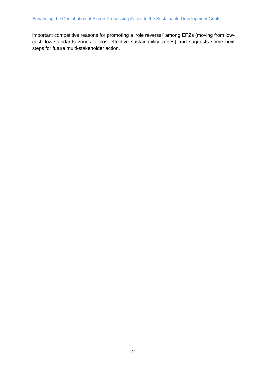important competitive reasons for promoting a 'role reversal' among EPZs (moving from lowcost, low-standards zones to cost-effective sustainability zones) and suggests some next steps for future multi-stakeholder action.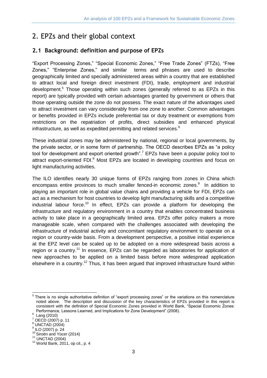# <span id="page-10-0"></span>2. EPZs and their global context

### <span id="page-10-1"></span>**2.1 Background: definition and purpose of EPZs**

"Export Processing Zones," "Special Economic Zones," "Free Trade Zones" (FTZs), "Free Zones," "Enterprise Zones," and similar terms and phrases are used to describe geographically limited and specially administered areas within a country that are established to attract local and foreign direct investment (FDI), trade, employment and industrial development.<sup>5</sup> Those operating within such zones (generally referred to as EPZs in this report) are typically provided with certain advantages granted by government or others that those operating outside the zone do not possess. The exact nature of the advantages used to attract investment can vary considerably from one zone to another. Common advantages or benefits provided in EPZs include preferential tax or duty treatment or exemptions from restrictions on the repatriation of profits, direct subsidies and enhanced physical infrastructure, as well as expedited permitting and related services.<sup>6</sup>

These industrial zones may be administered by national, regional or local governments, by the private sector, or in some form of partnership. The OECD describes EPZs as "a policy tool for development and export oriented growth".<sup>7</sup> EPZs have been a popular policy tool to attract export-oriented FDI.<sup>8</sup> Most EPZs are located in developing countries and focus on light manufacturing activities.

The ILO identifies nearly 30 unique forms of EPZs ranging from zones in China which encompass entire provinces to much smaller fenced-in economic zones.<sup>9</sup> In addition to playing an important role in global value chains and providing a vehicle for FDI, EPZs can act as a mechanism for host countries to develop light manufacturing skills and a competitive industrial labour force.<sup>10</sup> In effect. EPZs can provide a platform for developing the infrastructure and regulatory environment in a country that enables concentrated business activity to take place in a geographically limited area. EPZs offer policy makers a more manageable scale, when compared with the challenges associated with developing the infrastructure of industrial activity and concomitant regulatory environment to operate on a region or country-wide basis. From a development perspective, a positive initial experience at the EPZ level can be scaled up to be adopted on a more widespread basis across a region or a country.<sup>11</sup> In essence, EPZs can be regarded as laboratories for application of new approaches to be applied on a limited basis before more widespread application elsewhere in a country.<sup>12</sup> Thus, it has been argued that improved infrastructure found within

**TELECTS**<br><sup>5</sup> There is no single authoritative definition of "export processing zones" or the variations on this nomenclature noted above. The description and discussion of the key characteristics of EPZs provided in this report is consistent with the definition of Special Economic Zones provided in World Bank, "Special Economic Zones: Performance, Lessons Learned, and Implications for Zone Development" (2008).

<sup>&</sup>lt;sup>6</sup> Lang (2010)

OECD (2007) p. 11

<sup>8</sup> UNCTAD (2004)

<sup>9</sup> ILO (2007) p. 24

<sup>&</sup>lt;sup>10</sup> Siroën and Yücer (2014)

<sup>11</sup> UNCTAD (2004)

<sup>12</sup> World Bank, 2011, op cit., p. 4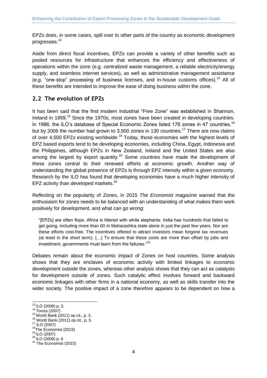EPZs does, in some cases, spill over to other parts of the country as economic development progresses.<sup>13</sup>

Aside from direct fiscal incentives, EPZs can provide a variety of other benefits such as pooled resources for infrastructure that enhances the efficiency and effectiveness of operations within the zone (e.g. centralized waste management, a reliable electricity/energy supply, and seamless internet services), as well as administrative management assistance (e.g. "one-stop" processing of business licenses, and in-house customs offices).<sup>14</sup> All of these benefits are intended to improve the ease of doing business within the zone.

### <span id="page-11-0"></span>**2.2 The evolution of EPZs**

It has been said that the first modern industrial "Free Zone" was established in Shannon, Ireland in 1959.<sup>15</sup> Since the 1970s, most zones have been created in developing countries. In 1986, the ILO's database of Special Economic Zones listed 176 zones in 47 countries, <sup>16</sup> but by 2006 the number had grown to 3,500 zones in 130 countries.<sup>17</sup> There are now claims of over 4,500 EPZs existing worldwide.<sup>18</sup> Today, those economies with the highest levels of EPZ based exports tend to be developing economies, including China, Egypt, Indonesia and the Philippines, although EPZs in New Zealand, Ireland and the United States are also among the largest by export quantity.<sup>19</sup> Some countries have made the development of these zones central to their renewed efforts at economic growth. Another way of understanding the global presence of EPZs is through EPZ intensity within a given economy. Research by the ILO has found that developing economies have a much higher intensity of EPZ activity than developed markets.<sup>20</sup>

Reflecting on the popularity of Zones, in 2015 *The Economist* magazine warned that the enthusiasm for zones needs to be balanced with an understanding of what makes them work positively for development, and what can go wrong:

"[EPZs] are often flops. Africa is littered with white elephants. India has hundreds that failed to get going, including more than 60 in Maharashtra state alone in just the past few years. Nor are these efforts cost-free. The incentives offered to attract investors mean forgone tax revenues (at least in the short term). […] To ensure that these costs are more than offset by jobs and investment, governments must learn from the failures."<sup>21</sup>

Debates remain about the economic impact of Zones on host countries. Some analysis shows that they are enclaves of economic activity with limited linkages to economic development outside the zones, whereas other analysis shows that they can act as catalysts for development outside of zones. Such catalytic effect involves forward and backward economic linkages with other firms in a national economy, as well as skills transfer into the wider society. The positive impact of a zone therefore appears to be dependent on how a

<sup>-</sup><sup>13</sup> ILO (2008) p. 3.

<sup>14</sup> Torres (2007)

 $15$  World Bank (2011) op cit., p. 3.

 $16$  World Bank (2011) op cit., p. 5.

<sup>17</sup> ILO (2007)

<sup>&</sup>lt;sup>18</sup>The Economist (2015)

<sup>19</sup> ILO (2007)

 $^{20}$  ILO (2008) p. 6

 $21$  The Economist (2015)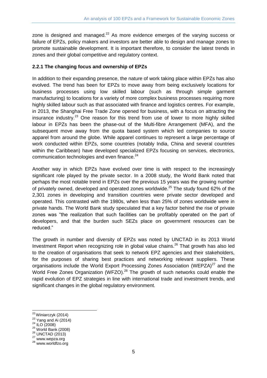zone is designed and managed. $22$  As more evidence emerges of the varying success or failure of EPZs, policy makers and investors are better able to design and manage zones to promote sustainable development. It is important therefore, to consider the latest trends in zones and their global competitive and regulatory context.

### **2.2.1 The changing focus and ownership of EPZs**

In addition to their expanding presence, the nature of work taking place within EPZs has also evolved. The trend has been for EPZs to move away from being exclusively locations for business processes using low skilled labour (such as through simple garment manufacturing) to locations for a variety of more complex business processes requiring more highly skilled labour such as that associated with finance and logistics centres. For example, in 2013, the Shanghai Free Trade Zone opened for business, with a focus on attracting the insurance industry.<sup>23</sup> One reason for this trend from use of lower to more highly skilled labour in EPZs has been the phase-out of the Multi-fibre Arrangement (MFA), and the subsequent move away from the quota based system which led companies to source apparel from around the globe. While apparel continues to represent a large percentage of work conducted within EPZs, some countries (notably India, China and several countries within the Caribbean) have developed specialized EPZs focusing on services, electronics, communication technologies and even finance.<sup>24</sup>

Another way in which EPZs have evolved over time is with respect to the increasingly significant role played by the private sector. In a 2008 study, the World Bank noted that perhaps the most notable trend in EPZs over the previous 15 years was the growing number of privately owned, developed and operated zones worldwide.<sup>25</sup> The study found 62% of the 2,301 zones in developing and transition countries were private sector developed and operated. This contrasted with the 1980s, when less than 25% of zones worldwide were in private hands. The World Bank study speculated that a key factor behind the rise of private zones was "the realization that such facilities can be profitably operated on the part of developers, and that the burden such SEZs place on government resources can be reduced."

The growth in number and diversity of EPZs was noted by UNCTAD in its 2013 World Investment Report when recognizing role in global value chains. <sup>26</sup> That growth has also led to the creation of organisations that seek to network EPZ agencies and their stakeholders, for the purposes of sharing best practices and networking relevant suppliers. These organisations include the World Export Processing Zones Association (WEPZA) $^{27}$  and the World Free Zones Organization (WFZO).<sup>28</sup> The growth of such networks could enable the rapid evolution of EPZ strategies in line with international trade and investment trends, and significant changes in the global regulatory environment.

-

<sup>&</sup>lt;sup>22</sup> Winiarczyk (2014)

 $23$  Yang and Ai (2014)

 $^{24}$  ILO (2008)

 $^{25}$  World Bank (2008)

<sup>26</sup> UNCTAD (2013)

 $27$  www.wepza.org

<sup>&</sup>lt;sup>28</sup> www.worldfzo.org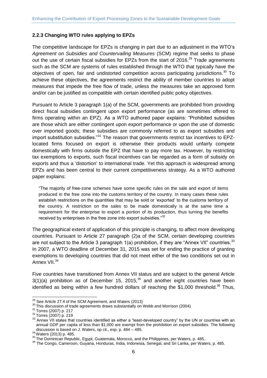### **2.2.3 Changing WTO rules applying to EPZs**

The competitive landscape for EPZs is changing in part due to an adjustment in the WTO's *Agreement on Subsidies and Countervailing Measures* (SCM) regime that seeks to phase out the use of certain fiscal subsidies for EPZs from the start of 2016.<sup>29</sup> Trade agreements such as the SCM are systems of rules established through the WTO that typically have the objectives of open, fair and undistorted competition across participating jurisdictions.<sup>30</sup> To achieve these objectives, the agreements restrict the ability of member countries to adopt measures that impede the free flow of trade, unless the measures take an approved form and/or can be justified as compatible with certain identified public policy objectives.

Pursuant to Article 3 paragraph 1(a) of the SCM, governments are prohibited from providing direct fiscal subsidies contingent upon export performance (as are sometimes offered to firms operating within an EPZ). As a WTO authored paper explains: "Prohibited subsidies are those which are either contingent upon export performance or upon the use of domestic over imported goods; these subsidies are commonly referred to as export subsidies and import substitution subsidies."<sup>31</sup> The reason that governments restrict tax incentives to EPZlocated firms focused on export is otherwise their products would unfairly compete domestically with firms outside the EPZ that have to pay more tax. However, by restricting tax exemptions to exports, such fiscal incentives can be regarded as a form of subsidy on exports and thus a 'distortion' to international trade. Yet this approach is widespread among EPZs and has been central to their current competitiveness strategy. As a WTO authored paper explains:

"The majority of free-zone schemes have some specific rules on the sale and export of items produced in the free zone into the customs territory of the country. In many cases these rules establish restrictions on the quantities that may be sold or 'exported' to the customs territory of the country. A restriction on the sales to be made domestically is at the same time a requirement for the enterprise to export a portion of its production, thus turning the benefits received by enterprises in the free zone into export subsidies."<sup>32</sup>

The geographical extent of application of this principle is changing, to affect more developing countries. Pursuant to Article 27 paragraph (2)a of the SCM, certain developing countries are not subject to the Article 3 paragraph  $1(a)$  prohibition, if they are "Annex VII" countries.  $33$ In 2007, a WTO deadline of December 31, 2015 was set for ending the practice of granting exemptions to developing countries that did not meet either of the two conditions set out in Annex VII.<sup>34</sup>

Five countries have transitioned from Annex VII status and are subject to the general Article  $3(1)(a)$  prohibition as of December 15, 2015,<sup>35</sup> and another eight countries have been identified as being within a few hundred dollars of reaching the \$1,000 threshold.<sup>36</sup> Thus,

 $\overline{a}$ 

 $^{29}$  See Article 27.4 of the SCM Agreement, and Waters (2013)

<sup>30</sup> This discussion of trade agreements draws substantially on Webb and Morrison (2004)

<sup>31</sup> Torres (2007) p. 217

<sup>32</sup> Torres (2007) p. 219

 $\frac{33}{33}$  Annex VII states that countries identified as either a "least-developed country" by the UN or countries with an annual GDP per capita of less than \$1,000 are exempt from the prohibition on export subsidies. The following discussion is based on J. Waters, op cit., esp. p. 484 – 485.

<sup>34</sup> Waters (2013) p. 485.

<sup>35</sup> The Dominican Republic, Egypt, Guatemala, Morocco, and the Philippines, per Waters, p. 485..

<sup>36</sup> The Congo, Cameroon, Guyana, Honduras, India, Indonesia, Senegal, and Sri Lanka, per Waters, p. 485.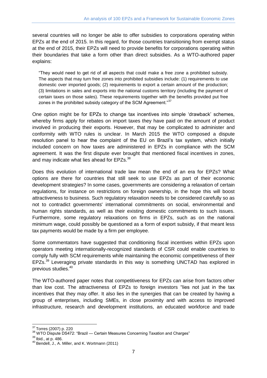several countries will no longer be able to offer subsidies to corporations operating within EPZs at the end of 2015. In this regard, for those countries transitioning from exempt status at the end of 2015, their EPZs will need to provide benefits for corporations operating within their boundaries that take a form other than direct subsidies. As a WTO-authored paper explains:

"They would need to get rid of all aspects that could make a free zone a prohibited subsidy. The aspects that may turn free zones into prohibited subsidies include: (1) requirements to use domestic over imported goods; (2) requirements to export a certain amount of the production; (3) limitations in sales and exports into the national customs territory (including the payment of certain taxes on those sales). These requirements together with the benefits provided put free zones in the prohibited subsidy category of the SCM Agreement."<sup>37</sup>

One option might be for EPZs to change tax incentives into simple 'drawback' schemes, whereby firms apply for rebates on import taxes they have paid on the amount of product involved in producing their exports. However, that may be complicated to administer and conformity with WTO rules is unclear. In March 2015 the WTO composed a dispute resolution panel to hear the complaint of the EU on Brazil's tax system, which initially included concern on how taxes are administered in EPZs in compliance with the SCM agreement. It was the first dispute ever brought that mentioned fiscal incentives in zones, and may indicate what lies ahead for EPZs.<sup>38</sup>

Does this evolution of international trade law mean the end of an era for EPZs? What options are there for countries that still seek to use EPZs as part of their economic development strategies? In some cases, governments are considering a relaxation of certain regulations, for instance on restrictions on foreign ownership, in the hope this will boost attractiveness to business. Such regulatory relaxation needs to be considered carefully so as not to contradict governments' international commitments on social, environmental and human rights standards, as well as their existing domestic commitments to such issues. Furthermore, some regulatory relaxations on firms in EPZs, such as on the national minimum wage, could possibly be questioned as a form of export subsidy, if that meant less tax payments would be made by a firm per employee.

Some commentators have suggested that conditioning fiscal incentives within EPZs upon operators meeting internationally-recognized standards of CSR could enable countries to comply fully with SCM requirements while maintaining the economic competitiveness of their EPZs.<sup>39</sup> Leveraging private standards in this way is something UNCTAD has explored in previous studies.<sup>40</sup>

The WTO-authored paper notes that competitiveness for EPZs can arise from factors other than low cost. The attractiveness of EPZs to foreign investors "lies not just in the tax incentives that they may offer. It also lies in the synergies that can be created by having a group of enterprises, including SMEs, in close proximity and with access to improved infrastructure, research and development institutions, an educated workforce and trade

<sup>-</sup><sup>37</sup> Torres (2007) p. 220

<sup>&</sup>lt;sup>38</sup> WTO Dispute DS472: "Brazil — [Certain Measures Concerning Taxation and Charges"](https://www.wto.org/english/tratop_e/dispu_e/cases_e/ds472_e.htm)

<sup>39</sup> Ibid., at p. 486.

<sup>40</sup> Bendell, J., A. Miller, and K. Wortmann (2011)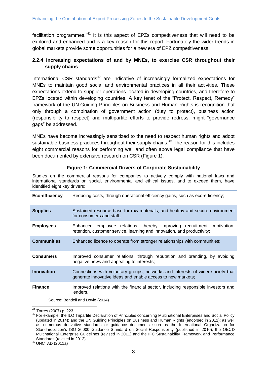facilitation programmes."<sup>41</sup> It is this aspect of EPZs competitiveness that will need to be explored and enhanced and is a key reason for this report. Fortunately the wider trends in global markets provide some opportunities for a new era of EPZ competitiveness.

### **2.2.4 Increasing expectations of and by MNEs, to exercise CSR throughout their supply chains**

International CSR standards $42$  are indicative of increasingly formalized expectations for MNEs to maintain good social and environmental practices in all their activities. These expectations extend to supplier operations located in developing countries, and therefore to EPZs located within developing countries. A key tenet of the "Protect, Respect, Remedy" framework of the UN Guiding Principles on Business and Human Rights is recognition that only through a combination of government action (duty to protect), business action (responsibility to respect) and multipartite efforts to provide redress, might "governance gaps" be addressed.

MNEs have become increasingly sensitized to the need to respect human rights and adopt sustainable business practices throughout their supply chains.<sup>43</sup> The reason for this includes eight commercial reasons for performing well and often above legal compliance that have been documented by extensive research on CSR (Figure 1).

#### **Figure 1: Commercial Drivers of Corporate Sustainability**

Studies on the commercial reasons for companies to actively comply with national laws and international standards on social, environmental and ethical issues, and to exceed them, have identified eight key drivers:

| Eco-efficiency     | Reducing costs, through operational efficiency gains, such as eco-efficiency;                                                                         |  |
|--------------------|-------------------------------------------------------------------------------------------------------------------------------------------------------|--|
| <b>Supplies</b>    | Sustained resource base for raw materials, and healthy and secure environment<br>for consumers and staff;                                             |  |
| <b>Employees</b>   | Enhanced employee relations, thereby improving recruitment,<br>motivation.<br>retention, customer service, learning and innovation, and productivity; |  |
| <b>Communities</b> | Enhanced licence to operate from stronger relationships with communities;                                                                             |  |
| <b>Consumers</b>   | Improved consumer relations, through reputation and branding, by avoiding<br>negative news and appealing to interests;                                |  |
| <b>Innovation</b>  | Connections with voluntary groups, networks and interests of wider society that<br>generate innovative ideas and enable access to new markets;        |  |
| <b>Finance</b>     | Improved relations with the financial sector, including responsible investors and<br>lenders.                                                         |  |

Source: Bendell and Doyle (2014)

-

 $^{41}$  Torres (2007) p. 223

<sup>&</sup>lt;sup>42</sup> For example: the ILO Tripartite Declaration of Principles concerning Multinational Enterprises and Social Policy (updated in 2014); and the UN Guiding Principles on Business and Human Rights (endorsed in 2011); as well as numerous derivative standards or guidance documents such as the International Organization for Standardization's ISO 26000 Guidance Standard on Social Responsibility (published in 2010), the OECD Multinational Enterprise Guidelines (revised in 2011) and the IFC Sustainability Framework and Performance Standards (revised in 2012).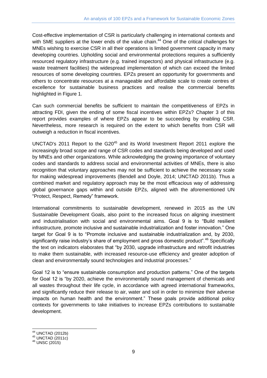Cost-effective implementation of CSR is particularly challenging in international contexts and with SME suppliers at the lower ends of the value chain.<sup>44</sup> One of the critical challenges for MNEs wishing to exercise CSR in all their operations is limited government capacity in many developing countries. Upholding social and environmental protections requires a sufficiently resourced regulatory infrastructure (e.g. trained inspectors) and physical infrastructure (e.g. waste treatment facilities) the widespread implementation of which can exceed the limited resources of some developing countries. EPZs present an opportunity for governments and others to concentrate resources at a manageable and affordable scale to create centres of excellence for sustainable business practices and realise the commercial benefits highlighted in Figure 1.

Can such commercial benefits be sufficient to maintain the competitiveness of EPZs in attracting FDI, given the ending of some fiscal incentives within EPZs? Chapter 3 of this report provides examples of where EPZs appear to be succeeding by enabling CSR. Nevertheless, more research is required on the extent to which benefits from CSR will outweigh a reduction in fiscal incentives.

UNCTAD's 2011 Report to the G20<sup>45</sup> and its World Investment Report 2011 explore the increasingly broad scope and range of CSR codes and standards being developed and used by MNEs and other organizations. While acknowledging the growing importance of voluntary codes and standards to address social and environmental activities of MNEs, there is also recognition that voluntary approaches may not be sufficient to achieve the necessary scale for making widespread improvements (Bendell and Doyle, 2014; UNCTAD 2011b). Thus a combined market and regulatory approach may be the most efficacious way of addressing global governance gaps within and outside EPZs, aligned with the aforementioned UN "Protect, Respect, Remedy" framework.

International commitments to sustainable development, renewed in 2015 as the UN Sustainable Development Goals, also point to the increased focus on aligning investment and industrialisation with social and environmental aims. Goal 9 is to "Build resilient infrastructure, promote inclusive and sustainable industrialization and foster innovation." One target for Goal 9 is to "Promote inclusive and sustainable industrialization and, by 2030, significantly raise industry's share of employment and gross domestic product".<sup>46</sup> Specifically the text on indicators elaborates that "by 2030, upgrade infrastructure and retrofit industries to make them sustainable, with increased resource-use efficiency and greater adoption of clean and environmentally sound technologies and industrial processes."

Goal 12 is to "ensure sustainable consumption and production patterns." One of the targets for Goal 12 is "by 2020, achieve the environmentally sound management of chemicals and all wastes throughout their life cycle, in accordance with agreed international frameworks, and significantly reduce their release to air, water and soil in order to minimize their adverse impacts on human health and the environment." These goals provide additional policy contexts for governments to take initiatives to increase EPZs contributions to sustainable development.

-

 $44$  UNCTAD (2012b)

 $45$  UNCTAD  $(2011c)$ 

<sup>46</sup> UNSC (2015)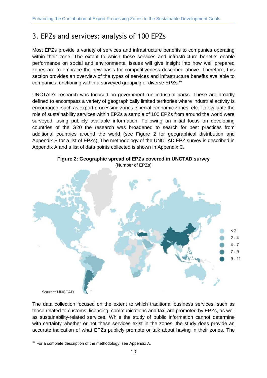# <span id="page-17-0"></span>3. EPZs and services: analysis of 100 EPZs

Most EPZs provide a variety of services and infrastructure benefits to companies operating within their zone. The extent to which these services and infrastructure benefits enable performance on social and environmental issues will give insight into how well prepared zones are to embrace the new basis for competitiveness described above. Therefore, this section provides an overview of the types of services and infrastructure benefits available to companies functioning within a surveyed grouping of diverse EPZs.<sup>47</sup>

UNCTAD's research was focused on government run industrial parks. These are broadly defined to encompass a variety of geographically limited territories where industrial activity is encouraged, such as export processing zones, special economic zones, etc. To evaluate the role of sustainability services within EPZs a sample of 100 EPZs from around the world were surveyed, using publicly available information. Following an initial focus on developing countries of the G20 the research was broadened to search for best practices from additional countries around the world (see Figure 2 for geographical distribution and Appendix B for a list of EPZs). The methodology of the UNCTAD EPZ survey is described in Appendix A and a list of data points collected is shown in Appendix C.





Source: UNCTAD

The data collection focused on the extent to which traditional business services, such as those related to customs, licensing, communications and tax, are promoted by EPZs, as well as sustainability-related services. While the study of public information cannot determine with certainty whether or not these services exist in the zones, the study does provide an accurate indication of what EPZs publicly promote or talk about having in their zones. The

<sup>-</sup> $47$  For a complete description of the methodology, see Appendix A.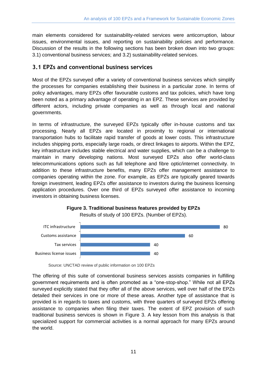main elements considered for sustainability-related services were anticorruption, labour issues, environmental issues, and reporting on sustainability policies and performance. Discussion of the results in the following sections has been broken down into two groups: 3.1) conventional business services; and 3.2) sustainability-related services.

### <span id="page-18-0"></span>**3.1 EPZs and conventional business services**

Most of the EPZs surveyed offer a variety of conventional business services which simplify the processes for companies establishing their business in a particular zone. In terms of policy advantages, many EPZs offer favourable customs and tax policies, which have long been noted as a primary advantage of operating in an EPZ. These services are provided by different actors, including private companies as well as through local and national governments.

In terms of infrastructure, the surveyed EPZs typically offer in-house customs and tax processing. Nearly all EPZs are located in proximity to regional or international transportation hubs to facilitate rapid transfer of goods at lower costs. This infrastructure includes shipping ports, especially large roads, or direct linkages to airports. Within the EPZ, key infrastructure includes stable electrical and water supplies, which can be a challenge to maintain in many developing nations. Most surveyed EPZs also offer world-class telecommunications options such as full telephone and fibre optic/internet connectivity. In addition to these infrastructure benefits, many EPZs offer management assistance to companies operating within the zone. For example, as EPZs are typically geared towards foreign investment, leading EPZs offer assistance to investors during the business licensing application procedures. Over one third of EPZs surveyed offer assistance to incoming investors in obtaining business licenses.





The offering of this suite of conventional business services assists companies in fulfilling government requirements and is often promoted as a "one-stop-shop." While not all EPZs surveyed explicitly stated that they offer all of the above services, well over half of the EPZs detailed their services in one or more of these areas. Another type of assistance that is provided is in regards to taxes and customs, with three quarters of surveyed EPZs offering assistance to companies when filing their taxes. The extent of EPZ provision of such traditional business services is shown in Figure 3. A key lesson from this analysis is that specialized support for commercial activities is a normal approach for many EPZs around the world.

Source: UNCTAD review of public information on 100 EPZs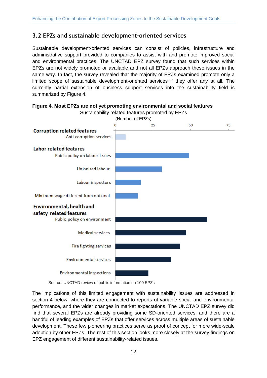### <span id="page-19-0"></span>**3.2 EPZs and sustainable development-oriented services**

Sustainable development-oriented services can consist of policies, infrastructure and administrative support provided to companies to assist with and promote improved social and environmental practices. The UNCTAD EPZ survey found that such services within EPZs are not widely promoted or available and not all EPZs approach these issues in the same way. In fact, the survey revealed that the majority of EPZs examined promote only a limited scope of sustainable development-oriented services if they offer any at all. The currently partial extension of business support services into the sustainability field is summarized by Figure 4.





The implications of this limited engagement with sustainability issues are addressed in section 4 below, where they are connected to reports of variable social and environmental performance, and the wider changes in market expectations. The UNCTAD EPZ survey did find that several EPZs are already providing some SD-oriented services, and there are a handful of leading examples of EPZs that offer services across multiple areas of sustainable development. These few pioneering practices serve as proof of concept for more wide-scale adoption by other EPZs. The rest of this section looks more closely at the survey findings on EPZ engagement of different sustainability-related issues.

Source: UNCTAD review of public information on 100 EPZs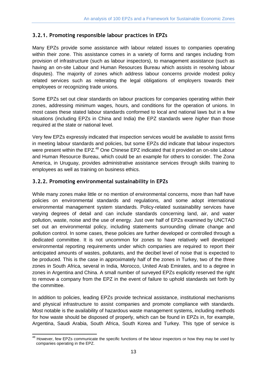### <span id="page-20-0"></span>**3.2.1. Promoting responsible labour practices in EPZs**

Many EPZs provide some assistance with labour related issues to companies operating within their zone. This assistance comes in a variety of forms and ranges including from provision of infrastructure (such as labour inspectors), to management assistance (such as having an on-site Labour and Human Resources Bureau which assists in resolving labour disputes). The majority of zones which address labour concerns provide modest policy related services such as reiterating the legal obligations of employers towards their employees or recognizing trade unions.

Some EPZs set out clear standards on labour practices for companies operating within their zones, addressing minimum wages, hours, and conditions for the operation of unions. In most cases these stated labour standards conformed to local and national laws but in a few situations (including EPZs in China and India) the EPZ standards were *higher* than those required at the state or national level.

Very few EPZs expressly indicated that inspection services would be available to assist firms in meeting labour standards and policies, but some EPZs did indicate that labour inspectors were present within the EPZ.<sup>48</sup> One Chinese EPZ indicated that it provided an on-site Labour and Human Resource Bureau, which could be an example for others to consider. The Zona America, in Uruguay, provides administrative assistance services through skills training to employees as well as training on business ethics.

### <span id="page-20-1"></span>**3.2.2. Promoting environmental sustainability in EPZs**

While many zones make little or no mention of environmental concerns, more than half have policies on environmental standards and regulations, and some adopt international environmental management system standards. Policy-related sustainability services have varying degrees of detail and can include standards concerning land, air, and water pollution, waste, noise and the use of energy. Just over half of EPZs examined by UNCTAD set out an environmental policy, including statements surrounding climate change and pollution control. In some cases, these policies are further developed or controlled through a dedicated committee. It is not uncommon for zones to have relatively well developed environmental reporting requirements under which companies are required to report their anticipated amounts of wastes, pollutants, and the decibel level of noise that is expected to be produced. This is the case in approximately half of the zones in Turkey, two of the three zones in South Africa, several in India, Morocco, United Arab Emirates, and to a degree in zones in Argentina and China. A small number of surveyed EPZs explicitly reserved the right to remove a company from the EPZ in the event of failure to uphold standards set forth by the committee.

In addition to policies, leading EPZs provide technical assistance, institutional mechanisms and physical infrastructure to assist companies and promote compliance with standards. Most notable is the availability of hazardous waste management systems, including methods for how waste should be disposed of properly, which can be found in EPZs in, for example, Argentina, Saudi Arabia, South Africa, South Korea and Turkey. This type of service is

 $\overline{a}$ <sup>48</sup> However, few EPZs communicate the specific functions of the labour inspectors or how they may be used by companies operating in the EPZ.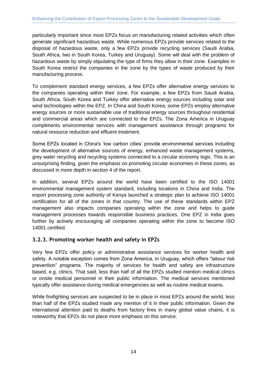particularly important since most EPZs focus on manufacturing related activities which often generate significant hazardous waste. While numerous EPZs provide services related to the disposal of hazardous waste, only a few EPZs provide recycling services (Saudi Arabia, South Africa, two in South Korea, Turkey and Uruguay). Some will deal with the problem of hazardous waste by simply stipulating the type of firms they allow in their zone. Examples in South Korea restrict the companies in the zone by the types of waste produced by their manufacturing process.

To complement standard energy services, a few EPZs offer alternative energy services to the companies operating within their zone. For example, a few EPZs from Saudi Arabia, South Africa, South Korea and Turkey offer alternative energy sources including solar and wind technologies within the EPZ. In China and South Korea, some EPZs employ alternative energy sources or more sustainable use of traditional energy sources throughout residential and commercial areas which are connected to the EPZs. The Zona America in Uruguay compliments environmental services with management assistance through programs for natural resource reduction and effluent treatment.

Some EPZs located in China's 'low carbon cities' provide environmental services including the development of alternative sources of energy, enhanced waste management systems, grey water recycling and recycling systems connected to a circular economy logic. This is an unsurprising finding, given the emphasis on promoting circular economies in these zones, as discussed in more depth in section 4 of the report.

In addition, several EPZs around the world have been certified to the ISO 14001 environmental management system standard, including locations in China and India. The export processing zone authority of Kenya launched a strategic plan to achieve ISO 14001 certification for all of the zones in that country. The use of these standards within EPZ management also impacts companies operating within the zone and helps to guide management processes towards responsible business practices. One EPZ in India goes further by actively encouraging all companies operating within the zone to become ISO 14001 certified.

### <span id="page-21-0"></span>**3.2.3. Promoting worker health and safety in EPZs**

Very few EPZs offer policy or administrative assistance services for worker health and safety. A notable exception comes from Zona America, in Uruguay, which offers "labour risk prevention" programs. The majority of services for health and safety are infrastructure based, e.g. clinics. That said, less than half of all the EPZs studied mention medical clinics or onsite medical personnel in their public information. The medical services mentioned typically offer assistance during medical emergencies as well as routine medical exams.

While firefighting services are suspected to be in place in most EPZs around the world, less than half of the EPZs studied made any mention of it in their public information. Given the international attention paid to deaths from factory fires in many global value chains, it is noteworthy that EPZs do not place more emphasis on this service.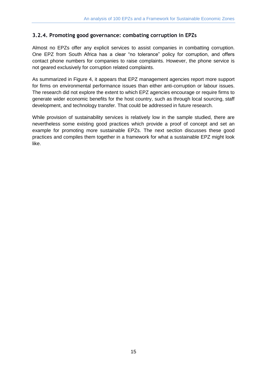### <span id="page-22-0"></span>**3.2.4. Promoting good governance: combating corruption in EPZs**

Almost no EPZs offer any explicit services to assist companies in combatting corruption. One EPZ from South Africa has a clear "no tolerance" policy for corruption, and offers contact phone numbers for companies to raise complaints. However, the phone service is not geared exclusively for corruption related complaints.

As summarized in Figure 4, it appears that EPZ management agencies report more support for firms on environmental performance issues than either anti-corruption or labour issues. The research did not explore the extent to which EPZ agencies encourage or require firms to generate wider economic benefits for the host country, such as through local sourcing, staff development, and technology transfer. That could be addressed in future research.

While provision of sustainability services is relatively low in the sample studied, there are nevertheless some existing good practices which provide a proof of concept and set an example for promoting more sustainable EPZs. The next section discusses these good practices and compiles them together in a framework for what a sustainable EPZ might look like.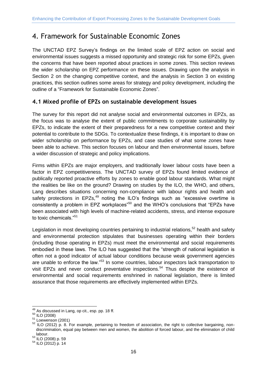# <span id="page-23-0"></span>4. Framework for Sustainable Economic Zones

The UNCTAD EPZ Survey's findings on the limited scale of EPZ action on social and environmental issues suggests a missed opportunity and strategic risk for some EPZs, given the concerns that have been reported about practices in some zones. This section reviews the wider scholarship on EPZ performance on these issues. Drawing upon the analysis in Section 2 on the changing competitive context, and the analysis in Section 3 on existing practices, this section outlines some areas for strategy and policy development, including the outline of a "Framework for Sustainable Economic Zones".

### <span id="page-23-1"></span>**4.1 Mixed profile of EPZs on sustainable development issues**

The survey for this report did not analyse social and environmental outcomes in EPZs, as the focus was to analyse the extent of public commitments to corporate sustainability by EPZs, to indicate the extent of their preparedness for a new competitive context and their potential to contribute to the SDGs. To contextualize these findings, it is important to draw on wider scholarship on performance by EPZs, and case studies of what some zones have been able to achieve. This section focuses on labour and then environmental issues, before a wider discussion of strategic and policy implications.

Firms within EPZs are major employers, and traditionally lower labour costs have been a factor in EPZ competitiveness. The UNCTAD survey of EPZs found limited evidence of publically reported proactive efforts by zones to enable good labour standards. What might the realities be like on the ground? Drawing on studies by the ILO, the WHO, and others, Lang describes situations concerning non-compliance with labour rights and health and safety protections in  $EPZs<sub>1</sub><sup>49</sup>$  noting the ILO's findings such as "excessive overtime is consistently a problem in EPZ workplaces<sup> $50$ </sup> and the WHO's conclusions that "EPZs have been associated with high levels of machine-related accidents, stress, and intense exposure to toxic chemicals."<sup>51</sup>

Legislation in most developing countries pertaining to industrial relations,<sup>52</sup> health and safety and environmental protection stipulates that businesses operating within their borders (including those operating in EPZs) must meet the environmental and social requirements embodied in these laws. The ILO has suggested that the "strength of national legislation is often not a good indicator of actual labour conditions because weak government agencies are unable to enforce the law."<sup>53</sup> In some countries, labour inspectors lack transportation to visit EPZs and never conduct preventative inspections.<sup>54</sup> Thus despite the existence of environmental and social requirements enshrined in national legislation, there is limited assurance that those requirements are effectively implemented within EPZs.

-

 $49$  As discussed in Lang, op cit., esp. pp. 18 ff.

<sup>50</sup> ILO (2008)

 $51$  Loewenson (2001)

<sup>52</sup> ILO (2012) p. 8. For example, pertaining to freedom of association, the right to collective bargaining, nondiscrimination, equal pay between men and women, the abolition of forced labour, and the elimination of child labour.

<sup>53</sup> ILO (2008) p. 59

<sup>54</sup> ILO (2012) p. 14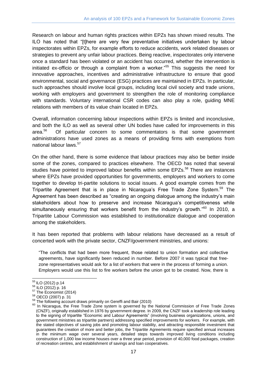Research on labour and human rights practices within EPZs has shown mixed results. The ILO has noted that "[t]here are very few preventative initiatives undertaken by labour inspectorates within EPZs, for example efforts to reduce accidents, work related diseases or strategies to prevent any unfair labour practices. Being reactive, inspectorates only intervene once a standard has been violated or an accident has occurred, whether the intervention is initiated ex-officio or through a complaint from a worker."<sup>55</sup> This suggests the need for innovative approaches, incentives and administrative infrastructure to ensure that good environmental, social and governance (ESG) practices are maintained in EPZs. In particular, such approaches should involve local groups, including local civil society and trade unions, working with employers and government to strengthen the role of monitoring compliance with standards. Voluntary international CSR codes can also play a role, guiding MNE relations with members of its value chain located in EPZs.

Overall, information concerning labour inspections within EPZs is limited and inconclusive, and both the ILO as well as several other UN bodies have called for improvements in this area.<sup>56</sup> Of particular concern to some commentators is that some government administrations have used zones as a means of providing firms with exemptions from national labour laws.<sup>57</sup>

On the other hand, there is some evidence that labour practices may also be better inside some of the zones, compared to practices elsewhere. The OECD has noted that several studies have pointed to improved labour benefits within some EPZs.<sup>58</sup> There are instances where EPZs have provided opportunities for governments, employers and workers to come together to develop tri-partite solutions to social issues. A good example comes from the Tripartite Agreement that is in place in Nicaragua's Free Trade Zone System.<sup>59</sup> The Agreement has been described as "creating an ongoing dialogue among the industry's main stakeholders about how to preserve and increase Nicaragua's competitiveness while simultaneously ensuring that workers benefit from the industry's growth."<sup>60</sup> In 2010, a Tripartite Labour Commission was established to institutionalize dialogue and cooperation among the stakeholders.

It has been reported that problems with labour relations have decreased as a result of concerted work with the private sector, CNZF/government ministries, and unions:

"The conflicts that had been more frequent, those related to union formation and collective agreements, have significantly been reduced in number. Before 2007 it was typical that freezone representatives would ask for a list of workers that were in the process of forming a union. Employers would use this list to fire workers before the union got to be created. Now, there is

<sup>-</sup><sup>55</sup> ILO (2012) p.14

<sup>56</sup> ILO (2012) p. 16

 $57$  The Economist (2014)

<sup>58</sup> OECD (2007) p. 31

 $59$  The following account draws primarily on Gereffi and Bair (2010)

<sup>&</sup>lt;sup>60</sup> In Nicaragua, the Free Trade Zone system is governed by the National Commission of Free Trade Zones (CNZF), originally established in 1976 by government degree. In 2009, the CNZF took a leadership role leading to the signing of tripartite "Economic and Labour Agreements" (involving business organizations, unions, and government ministries as tripartite partners) addressing specified improvements for workers. For example, with the stated objectives of saving jobs and promoting labour stability, and attracting responsible investment that guarantees the creation of more and better jobs, the Tripartite Agreements require specified annual increases in the minimum wage over several years, detailed steps towards improved living conditions including construction of 1,000 low income houses over a three year period, provision of 40,000 food packages, creation of recreation centres, and establishment of savings and loan cooperatives.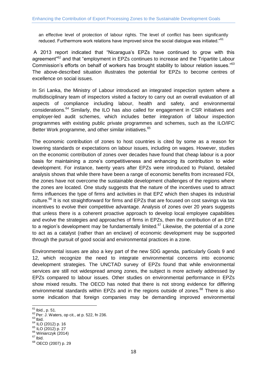an effective level of protection of labour rights. The level of conflict has been significantly reduced. Furthermore work relations have improved since the social dialogue was initiated."<sup>61</sup>

A 2013 report indicated that "Nicaragua's EPZs have continued to grow with this agreement<sup>"62</sup> and that "employment in EPZs continues to increase and the Tripartite Labour Commission's efforts on behalf of workers has brought stability to labour relation issues."<sup>63</sup> The above-described situation illustrates the potential for EPZs to become centres of excellence on social issues.

In Sri Lanka, the Ministry of Labour introduced an integrated inspection system where a multidisciplinary team of inspectors visited a factory to carry out an overall evaluation of all aspects of compliance including labour, health and safety, and environmental considerations.<sup>64</sup> Similarly, the ILO has also called for engagement in CSR initiatives and employer-led audit schemes, which includes better integration of labour inspection programmes with existing public private programmes and schemes, such as the ILO/IFC Better Work programme, and other similar initiatives.<sup>65</sup>

The economic contribution of zones to host countries is cited by some as a reason for lowering standards or expectations on labour issues, including on wages. However, studies on the economic contribution of zones over decades have found that cheap labour is a poor basis for maintaining a zone's competitiveness and enhancing its contribution to wider development. For instance, twenty years after EPZs were introduced to Poland, detailed analysis shows that while there have been a range of economic benefits from increased FDI, the zones have not overcome the sustainable development challenges of the regions where the zones are located. One study suggests that the nature of the incentives used to attract firms influences the type of firms and activities in that EPZ which then shapes its industrial culture.<sup>66</sup> It is not straightforward for firms and EPZs that are focused on cost savings via tax incentives to evolve their competitive advantage. Analysis of zones over 20 years suggests that unless there is a coherent proactive approach to develop local employee capabilities and evolve the strategies and approaches of firms in EPZs, then the contribution of an EPZ to a region's development may be fundamentally limited.<sup>67</sup> Likewise, the potential of a zone to act as a catalyst (rather than an enclave) of economic development may be supported through the pursuit of good social and environmental practices in a zone.

Environmental issues are also a key part of the new SDG agenda, particularly Goals 9 and 12, which recognize the need to integrate environmental concerns into economic development strategies. The UNCTAD survey of EPZs found that while environmental services are still not widespread among zones, the subject is more actively addressed by EPZs compared to labour issues. Other studies on environmental performance in EPZs show mixed results. The OECD has noted that there is not strong evidence for differing environmental standards within EPZs and in the regions outside of zones.<sup>68</sup> There is also some indication that foreign companies may be demanding improved environmental

 $\overline{a}$  $61$  Ibid., p. 51.

 $62$  Per: J. Waters, op cit., at p. 522, fn 236.

 $63$  Ibid.

 $64$  ILO (2012) p. 16

<sup>65</sup> ILO (2012) p. 27

<sup>&</sup>lt;sup>66</sup> Winiarczyk (2014)  $67$  Ibid.

<sup>68</sup> OECD (2007) p. 29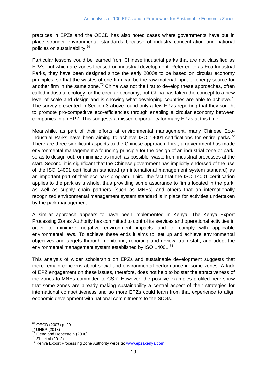practices in EPZs and the OECD has also noted cases where governments have put in place stronger environmental standards because of industry concentration and national policies on sustainability.<sup>69</sup>

Particular lessons could be learned from Chinese industrial parks that are not classified as EPZs, but which are zones focused on industrial development. Referred to as Eco-Industrial Parks, they have been designed since the early 2000s to be based on circular economy principles, so that the wastes of one firm can be the raw material input or energy source for another firm in the same zone.<sup>70</sup> China was not the first to develop these approaches, often called industrial ecology, or the circular economy, but China has taken the concept to a new level of scale and design and is showing what developing countries are able to achieve.<sup>71</sup> The survey presented in Section 3 above found only a few EPZs reporting that they sought to promote pro-competitive eco-efficiencies through enabling a circular economy between companies in an EPZ. This suggests a missed opportunity for many EPZs at this time.

Meanwhile, as part of their efforts at environmental management, many Chinese Eco-Industrial Parks have been aiming to achieve ISO 14001-certifications for entire parks.<sup>72</sup> There are three significant aspects to the Chinese approach. First, a government has made environmental management a founding principle for the design of an industrial zone or park, so as to design-out, or minimize as much as possible, waste from industrial processes at the start. Second, it is significant that the Chinese government has implicitly endorsed of the use of the ISO 14001 certification standard (an international management system standard) as an important part of their eco-park program. Third, the fact that the ISO 14001 certification applies to the park as a whole, thus providing some assurance to firms located in the park, as well as supply chain partners (such as MNEs) and others that an internationally recognized environmental management system standard is in place for activities undertaken by the park management.

A similar approach appears to have been implemented in Kenya. The Kenya Export Processing Zones Authority has committed to control its services and operational activities in order to minimize negative environment impacts and to comply with applicable environmental laws. To achieve these ends it aims to: set up and achieve environmental objectives and targets through monitoring, reporting and review; train staff; and adopt the environmental management system established by ISO 14001. $^{73}$ 

This analysis of wider scholarship on EPZs and sustainable development suggests that there remain concerns about social and environmental performance in some zones. A lack of EPZ engagement on these issues, therefore, does not help to bolster the attractiveness of the zones to MNEs committed to CSR. However, the positive examples profiled here show that some zones are already making sustainability a central aspect of their strategies for international competitiveness and so more EPZs could learn from that experience to align economic development with national commitments to the SDGs.

 $\overline{a}$ <sup>69</sup> OECD (2007) p. 29

 $^{70}$  UNEP (2013)

<sup>&</sup>lt;sup>71</sup> Geng and Doberstein (2008)

<sup>72</sup> Shi et al (2012)

<sup>73</sup> Kenya Export Processing Zone Authority website: [www.epzakenya.com](http://www.epzakenya.com/)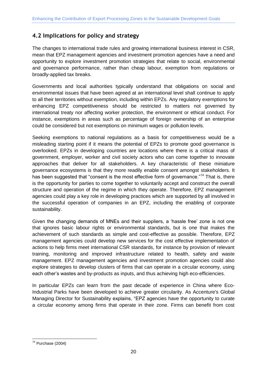# <span id="page-27-0"></span>**4.2 Implications for policy and strategy**

The changes to international trade rules and growing international business interest in CSR, mean that EPZ management agencies and investment promotion agencies have a need and opportunity to explore investment promotion strategies that relate to social, environmental and governance performance, rather than cheap labour, exemption from regulations or broadly-applied tax breaks.

Governments and local authorities typically understand that obligations on social and environmental issues that have been agreed at an international level shall continue to apply to all their territories without exemption, including within EPZs. Any regulatory exemptions for enhancing EPZ competitiveness should be restricted to matters not governed by international treaty nor affecting worker protection, the environment or ethical conduct. For instance, exemptions in areas such as percentage of foreign ownership of an enterprise could be considered but not exemptions on minimum wages or pollution levels.

Seeking exemptions to national regulations as a basis for competitiveness would be a misleading starting point if it means the potential of EPZs to promote good governance is overlooked. EPZs in developing countries are locations where there is a critical mass of government, employer, worker and civil society actors who can come together to innovate approaches that deliver for all stakeholders. A key characteristic of these miniature governance ecosystems is that they more readily enable consent amongst stakeholders. It has been suggested that "consent is the most effective form of governance."<sup>74</sup> That is, there is the opportunity for parties to come together to voluntarily accept and construct the overall structure and operation of the regime in which they operate. Therefore, EPZ management agencies could play a key role in developing practices which are supported by all involved in the successful operation of companies in an EPZ, including the enabling of corporate sustainability.

Given the changing demands of MNEs and their suppliers, a 'hassle free' zone is not one that ignores basic labour rights or environmental standards, but is one that makes the achievement of such standards as simple and cost-effective as possible. Therefore, EPZ management agencies could develop new services for the cost effective implementation of actions to help firms meet international CSR standards, for instance by provision of relevant training, monitoring and improved infrastructure related to health, safety and waste management. EPZ management agencies and investment promotion agencies could also explore strategies to develop clusters of firms that can operate in a circular economy, using each other's wastes and by-products as inputs, and thus achieving high eco-efficiencies.

In particular EPZs can learn from the past decade of experience in China where Eco-Industrial Parks have been developed to achieve greater circularity. As Accenture's Global Managing Director for Sustainability explains, "EPZ agencies have the opportunity to curate a circular economy among firms that operate in their zone. Firms can benefit from cost

<sup>-</sup> $74$  Purchase (2004)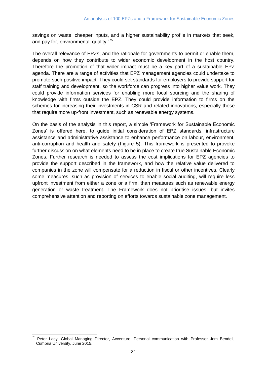savings on waste, cheaper inputs, and a higher sustainability profile in markets that seek, and pay for, environmental quality."<sup>75</sup>

The overall relevance of EPZs, and the rationale for governments to permit or enable them, depends on how they contribute to wider economic development in the host country. Therefore the promotion of that wider impact must be a key part of a sustainable EPZ agenda. There are a range of activities that EPZ management agencies could undertake to promote such positive impact. They could set standards for employers to provide support for staff training and development, so the workforce can progress into higher value work. They could provide information services for enabling more local sourcing and the sharing of knowledge with firms outside the EPZ. They could provide information to firms on the schemes for increasing their investments in CSR and related innovations, especially those that require more up-front investment, such as renewable energy systems.

On the basis of the analysis in this report, a simple 'Framework for Sustainable Economic Zones' is offered here, to guide initial consideration of EPZ standards, infrastructure assistance and administrative assistance to enhance performance on labour, environment, anti-corruption and health and safety (Figure 5). This framework is presented to provoke further discussion on what elements need to be in place to create true Sustainable Economic Zones. Further research is needed to assess the cost implications for EPZ agencies to provide the support described in the framework, and how the relative value delivered to companies in the zone will compensate for a reduction in fiscal or other incentives. Clearly some measures, such as provision of services to enable social auditing, will require less upfront investment from either a zone or a firm, than measures such as renewable energy generation or waste treatment. The Framework does not prioritise issues, but invites comprehensive attention and reporting on efforts towards sustainable zone management.

 $\overline{a}$ <sup>75</sup> Peter Lacy, Global Managing Director, Accenture. Personal communication with Professor Jem Bendell, Cumbria University, June 2015.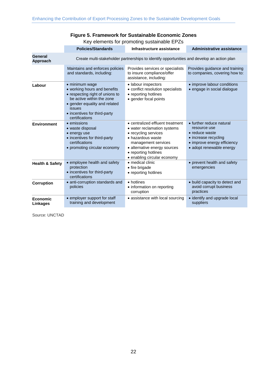### **Figure 5. Framework for Sustainable Economic Zones**

Key elements for promoting sustainable EPZs

|                             | <b>Policies/Standards</b>                                                                                                                                                                                          | Infrastructure assistance                                                                                                                                                                                                  | <b>Administrative assistance</b>                                                                                                              |
|-----------------------------|--------------------------------------------------------------------------------------------------------------------------------------------------------------------------------------------------------------------|----------------------------------------------------------------------------------------------------------------------------------------------------------------------------------------------------------------------------|-----------------------------------------------------------------------------------------------------------------------------------------------|
| General<br>Approach         | Create multi-stakeholder partnerships to identify opportunities and develop an action plan                                                                                                                         |                                                                                                                                                                                                                            |                                                                                                                                               |
|                             | Maintains and enforces policies<br>and standards, including:                                                                                                                                                       | Provides services or specialists<br>to insure compliance/offer<br>assistance, including:                                                                                                                                   | Provides guidance and training<br>to companies, covering how to:                                                                              |
| Labour                      | • minimum wage<br>• working hours and benefits<br>• respecting right of unions to<br>be active within the zone<br>• gender equality and related<br><i>issues</i><br>• incentives for third-party<br>certifications | • labour inspectors<br>• conflict resolution specialists<br>• reporting hotlines<br>• gender focal points                                                                                                                  | • improve labour conditions<br>• engage in social dialogue                                                                                    |
| <b>Environment</b>          | • emissions<br>• waste disposal<br>• energy use<br>• incentives for third-party<br>certifications<br>• promoting circular economy                                                                                  | • centralized effluent treatment<br>• water reclamation systems<br>• recycling services<br>• hazardous waste<br>management services<br>• alternative energy sources<br>• reporting hotlines<br>• enabling circular economy | • further reduce natural<br>resource use<br>• reduce waste<br>• increase recycling<br>• improve energy efficiency<br>· adopt renewable energy |
| <b>Health &amp; Safety</b>  | • employee health and safety<br>protection<br>• incentives for third-party<br>certifications                                                                                                                       | · medical clinic<br>• fire brigade<br>• reporting hotlines                                                                                                                                                                 | • prevent health and safety<br>emergencies                                                                                                    |
| Corruption                  | · anti-corruption standards and<br>policies                                                                                                                                                                        | • hotlines<br>• information on reporting<br>corruption                                                                                                                                                                     | • build capacity to detect and<br>avoid corrupt business<br>practices                                                                         |
| <b>Economic</b><br>Linkages | • employer support for staff<br>training and development                                                                                                                                                           | • assistance with local sourcing                                                                                                                                                                                           | • identify and upgrade local<br>suppliers                                                                                                     |

Source: UNCTAD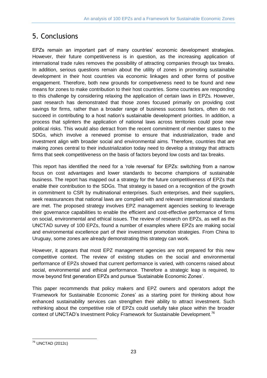# <span id="page-30-0"></span>5. Conclusions

EPZs remain an important part of many countries' economic development strategies. However, their future competitiveness is in question, as the increasing application of international trade rules removes the possibility of attracting companies through tax breaks. In addition, serious questions remain about the utility of zones in promoting sustainable development in their host countries via economic linkages and other forms of positive engagement. Therefore, both new grounds for competiveness need to be found and new means for zones to make contribution to their host countries. Some countries are responding to this challenge by considering relaxing the application of certain laws in EPZs. However, past research has demonstrated that those zones focused primarily on providing cost savings for firms, rather than a broader range of business success factors, often do not succeed in contributing to a host nation's sustainable development priorities. In addition, a process that splinters the application of national laws across territories could pose new political risks. This would also detract from the recent commitment of member states to the SDGs, which involve a renewed promise to ensure that industrialization, trade and investment align with broader social and environmental aims. Therefore, countries that are making zones central to their industrialization today need to develop a strategy that attracts firms that seek competitiveness on the basis of factors beyond low costs and tax breaks.

This report has identified the need for a 'role reversal' for EPZs: switching from a narrow focus on cost advantages and lower standards to become champions of sustainable business. The report has mapped out a strategy for the future competitiveness of EPZs that enable their contribution to the SDGs. That strategy is based on a recognition of the growth in commitment to CSR by multinational enterprises. Such enterprises, and their suppliers, seek reassurances that national laws are complied with and relevant international standards are met. The proposed strategy involves EPZ management agencies seeking to leverage their governance capabilities to enable the efficient and cost-effective performance of firms on social, environmental and ethical issues. The review of research on EPZs, as well as the UNCTAD survey of 100 EPZs, found a number of examples where EPZs are making social and environmental excellence part of their investment promotion strategies. From China to Uruguay, some zones are already demonstrating this strategy can work.

However, it appears that most EPZ management agencies are not prepared for this new competitive context. The review of existing studies on the social and environmental performance of EPZs showed that current performance is varied, with concerns raised about social, environmental and ethical performance. Therefore a strategic leap is required, to move beyond first generation EPZs and pursue 'Sustainable Economic Zones'.

This paper recommends that policy makers and EPZ owners and operators adopt the 'Framework for Sustainable Economic Zones' as a starting point for thinking about how enhanced sustainability services can strengthen their ability to attract investment. Such rethinking about the competitive role of EPZs could usefully take place within the broader context of UNCTAD's Investment Policy Framework for Sustainable Development.<sup>76</sup>

<sup>-</sup><sup>76</sup> UNCTAD (2012c)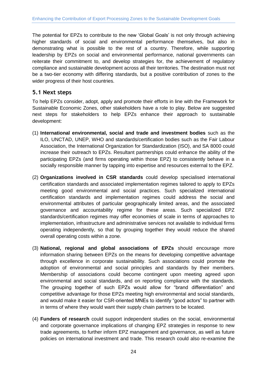The potential for EPZs to contribute to the new 'Global Goals' is not only through achieving higher standards of social and environmental performance themselves, but also in demonstrating what is possible to the rest of a country. Therefore, while supporting leadership by EPZs on social and environmental performance, national governments can reiterate their commitment to, and develop strategies for, the achievement of regulatory compliance and sustainable development across all their territories. The destination must not be a two-tier economy with differing standards, but a positive contribution of zones to the wider progress of their host countries.

### <span id="page-31-0"></span>**5.1 Next steps**

To help EPZs consider, adopt, apply and promote their efforts in line with the Framework for Sustainable Economic Zones, other stakeholders have a role to play. Below are suggested next steps for stakeholders to help EPZs enhance their approach to sustainable development:

- (1) **International environmental, social and trade and investment bodies** such as the ILO, UNCTAD, UNEP, WHO and standards/certification bodies such as the Fair Labour Association, the International Organization for Standardization (ISO), and SA 8000 could increase their outreach to EPZs. Resultant partnerships could enhance the ability of the participating EPZs (and firms operating within those EPZ) to consistently behave in a socially responsible manner by tapping into expertise and resources external to the EPZ.
- (2) **Organizations involved in CSR standards** could develop specialised international certification standards and associated implementation regimes tailored to apply to EPZs meeting good environmental and social practices. Such specialized international certification standards and implementation regimes could address the social and environmental attributes of particular geographically limited areas, and the associated governance and accountability regime for these areas. Such specialized EPZ standards/certification regimes may offer economies of scale in terms of approaches to implementation, infrastructure and administrative services not available to individual firms operating independently, so that by grouping together they would reduce the shared overall operating costs within a zone.
- (3) **National, regional and global associations of EPZs** should encourage more information sharing between EPZs on the means for developing competitive advantage through excellence in corporate sustainability. Such associations could promote the adoption of environmental and social principles and standards by their members. Membership of associations could become contingent upon meeting agreed upon environmental and social standards, and on reporting compliance with the standards. The grouping together of such EPZs would allow for "brand differentiation" and competitive advantage for those EPZs meeting high environmental and social standards, and would make it easier for CSR-oriented MNEs to identify "good actors" to partner with in terms of where they would want their supply chain partners to be located.
- (4) **Funders of research** could support independent studies on the social, environmental and corporate governance implications of changing EPZ strategies in response to new trade agreements, to further inform EPZ management and governance, as well as future policies on international investment and trade. This research could also re-examine the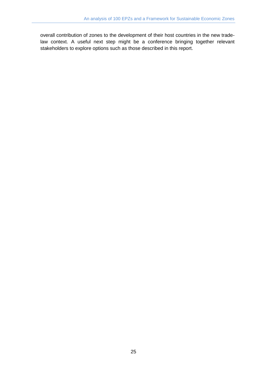overall contribution of zones to the development of their host countries in the new tradelaw context. A useful next step might be a conference bringing together relevant stakeholders to explore options such as those described in this report.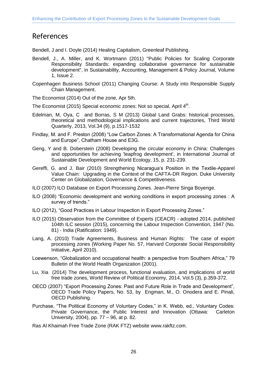# <span id="page-33-0"></span>References

Bendell, J and I. Doyle (2014) Healing Capitalism, Greenleaf Publishing.

- Bendell, J., A. Miller, and K. Wortmann (2011) "Public Policies for Scaling Corporate Responsibility Standards: expanding collaborative governance for sustainable development", in Sustainability, Accounting, Management & Policy Journal, Volume 1, Issue 2.
- Copenhagen Business School (2011) [Changing Course: A Study into Responsible Supply](http://um.dk/en/danida-en/activities/business/partnerships/b2b-programme/news/newsdisplaypage/?newsid=f45f3efc-4e1f-43a9-a919-00bbb89c39b6)  [Chain Management.](http://um.dk/en/danida-en/activities/business/partnerships/b2b-programme/news/newsdisplaypage/?newsid=f45f3efc-4e1f-43a9-a919-00bbb89c39b6)
- The Economist (2014) [Out of the zone,](http://www.economist.com/news/finance-and-economics/21600145-shinzo-abes-fancy-economic-areas-are-big-enough-not-bold-enough-out-zone) Apr 5th.
- The Economist (2015) [Special economic zones: Not so special,](http://www.economist.com/news/leaders/21647615-world-awash-free-trade-zones-and-their-offshoots-many-are-not-worth-effort-not) April 4<sup>th</sup>.
- Edelman, M, Oya, C and Borras, S M (2013) Global Land Grabs: historical processes, theoretical and methodological implications and current trajectories, Third World Quarterly, 2013, Vol.34 (9), p.1517-1532
- Findlay, M. and F. Preston (2008) "Low Carbon Zones: A Transformational Agenda for China and Europe", Chatham House and E3G.
- Geng, Y and B. Doberstein (2008) Developing the circular economy in China: Challenges and opportunities for achieving 'leapfrog development', in International Journal of Sustainable Development and World Ecology, 15, p. 231-239.
- Gereffi, G. and J. Bair (2010) Strengthening Nicaragua's Position in the Textile-Apparel Value Chain: Upgrading in the Context of the CAFTA-DR Region. Duke University Center on Globalization, Governance & Competitiveness.
- ILO (2007) ILO Database on Export Processing Zones. Jean-Pierre Singa Boyenge.
- ILO (2008) "Economic development and working conditions in export processing zones : A survey of trends."
- ILO (2012), "Good Practices in Labour Inspection in Export Processing Zones."
- ILO (2015) [Observation from the Committee of Experts \(CEACR\) -](http://www.ilo.org/dyn/normlex/en/f?p=1000:13100:0::NO:13100:P13100_COMMENT_ID,P11110_COUNTRY_ID,P11110_COUNTRY_NAME,P11110_COMMENT_YEAR:3190722,102691,India,2014) adopted 2014, published [104th ILC session \(2015\), concerning the Labour Inspection Convention, 1947 \(No.](http://www.ilo.org/dyn/normlex/en/f?p=1000:13100:0::NO:13100:P13100_COMMENT_ID,P11110_COUNTRY_ID,P11110_COUNTRY_NAME,P11110_COMMENT_YEAR:3190722,102691,India,2014)  81) - [India \(Ratification: 1949\).](http://www.ilo.org/dyn/normlex/en/f?p=1000:13100:0::NO:13100:P13100_COMMENT_ID,P11110_COUNTRY_ID,P11110_COUNTRY_NAME,P11110_COMMENT_YEAR:3190722,102691,India,2014)
- Lang, A. (2010) Trade Agreements, Business and Human Rights: The case of export processing zones (Working Paper No. 57, Harvard Corporate Social Responsibility Initiative, April 2010).
- Loewenson, "Globalization and occupational health: a perspective from Southern Africa," 79 Bulletin of the World Health Organization (2001).
- Lu, Xia (2014) The development process, functional evaluation, and implications of world free trade zones, World Review of Political Economy, 2014, Vol.5 (3), p.359-372.
- OECD (2007) "Export Processing Zones: Past and Future Role in Trade and Development", OECD Trade Policy Papers, No. 53, by Engman, M., O. Onodera and E. Pinali, OECD Publishing.
- Purchase, "The Political Economy of Voluntary Codes," in K. Webb, ed., Voluntary Codes: Private Governance, the Public Interest and Innovation (Ottawa: Carleton University, 2004), pp. 77 – 96, at p. 82.

Ras Al Khaimah [Free Trade Zone](http://www.rakftz.com/en/section/corporate-social-responsibility) (RAK FTZ) website www.rakftz.com.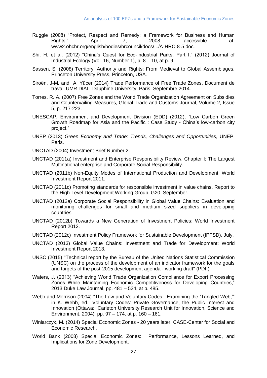- Ruggie (2008) "Protect, Respect and Remedy: a Framework for Business and Human<br>Rights." April 17. 2008. accessible at: April 7, 2008, accessible at: www2.ohchr.org/english/bodies/hrcouncil/docs/.../A-HRC-8-5.doc.
- Shi, H. et al, (2012) "China's Quest for Eco-Industrial Parks, Part I," (2012) Journal of Industrial Ecology (Vol. 16, Number 1), p. 8 – 10, at p. 9.
- Sassen, S. (2008) Territory, Authority and Rights: From Medieval to Global Assemblages. Princeton University Press, Princeton, USA.
- Siroën, J-M. and A. Yücer (2014) Trade Performance of Free Trade Zones, Document de travail UMR DIAL, Dauphine University, Paris, Septembre 2014.
- Torres, R. A. (2007) Free Zones and the World Trade Organization Agreement on Subsidies and Countervailing Measures, Global Trade and Customs Journal, Volume 2, Issue 5, p. 217-223.
- UNESCAP, Environment and Development Division (EDD) (2012), "Low Carbon Green Growth Roadmap for Asia and the Pacific : Case Study - China's low-carbon city project."
- UNEP (2013) *Green Economy and Trade: Trends, Challenges and Opportunities,* UNEP, Paris.
- UNCTAD (2004) [Investment Brief Number 2.](http://unctad.org/en/docs/webiteiia200417_en.pdf)
- UNCTAD (2011a) Investment and Enterprise Responsibility Review. Chapter I: The Largest Multinational enterprise and Corporate Social Responsibility.
- UNCTAD (2011b) Non-Equity Modes of International Production and Development: World Investment Report 2011.
- UNCTAD (2011c) [Promoting standards for responsible investment in value chains.](http://unctad.org/sections/dite_dir/docs/diae_G20_CSR_Standards_Report_en.pdf) Report to the High-Level Development Working Group, G20. September.
- UNCTAD (2012a) Corporate Social Responsibility in Global Value Chains: Evaluation and monitoring challenges for small and medium sized suppliers in developing countries.
- UNCTAD (2012b) Towards a New Generation of Investment Policies: World Investment Report 2012.
- UNCTAD (2012c) Investment Policy Framework for Sustainable Development (IPFSD), July.
- UNCTAD (2013) Global Value Chains: Investment and Trade for Development: World Investment Report 2013.
- UNSC (2015) "Technical report by the Bureau of the United Nations Statistical Commission (UNSC) on the process of the development of an indicator framework for the goals and targets of the post-2015 development agenda - working draft" (PDF).
- Waters, J. (2013) "Achieving World Trade Organization Compliance for Export Processing Zones While Maintaining Economic Competitiveness for Developing Countries," 2013 Duke Law Journal, pp. 481 – 524, at p. 485.
- Webb and Morrison (2004) "The Law and Voluntary Codes: Examining the 'Tangled Web,'" in K. Webb, ed., Voluntary Codes: Private Governance, the Public Interest and Innovation (Ottawa: Carleton University Research Unit for Innovation, Science and Environment, 2004), pp. 97 – 174, at p. 160 – 161.
- Winiarczyk, M. (2014) Special Economic Zones 20 years later, CASE-Center for Social and Economic Research.
- World Bank (2008) [Special Economic Zones: Performance, Lessons Learned, and](https://www.wbginvestmentclimate.org/uploads/SEZs%20-%20Performance,%20Lessons%20Learned%20and%20Implications%20for%20Zone%20Development.pdf)  [Implications for Zone Development.](https://www.wbginvestmentclimate.org/uploads/SEZs%20-%20Performance,%20Lessons%20Learned%20and%20Implications%20for%20Zone%20Development.pdf)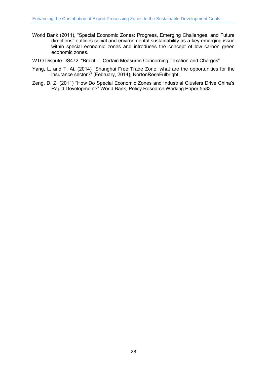- World Bank (2011), "Special Economic Zones: Progress, Emerging Challenges, and Future directions" outlines social and environmental sustainability as a key emerging issue within special economic zones and introduces the concept of low carbon green economic zones.
- WTO Dispute DS472: "Brazil [Certain Measures Concerning Taxation and Charges"](https://www.wto.org/english/tratop_e/dispu_e/cases_e/ds472_e.htm)
- Yang, L. and T. Ai, (2014) ["Shanghai Free Trade Zone: what are the opportunities for the](http://www.nortonrosefulbright.com/knowledge/publications/112976/shanghai-free-trade-zone-what-are-the-opportunities-for-the-insurance-sector)  [insurance sector?"](http://www.nortonrosefulbright.com/knowledge/publications/112976/shanghai-free-trade-zone-what-are-the-opportunities-for-the-insurance-sector) (February, 2014), NortonRoseFulbright.
- Zeng, D. Z. (2011) "How Do Special Economic Zones and Industrial Clusters Drive China's Rapid Development?" World Bank, Policy Research Working Paper 5583.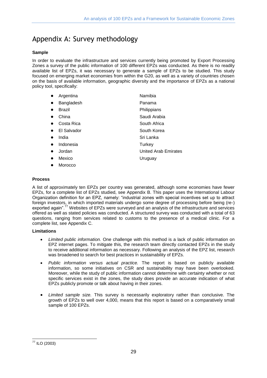# <span id="page-36-0"></span>Appendix A: Survey methodology

#### **Sample**

In order to evaluate the infrastructure and services currently being promoted by Export Processing Zones a survey of the public information of 100 different EPZs was conducted. As there is no readily available list of EPZs, it was necessary to generate a sample of EPZs to be studied. This study focused on emerging market economies from within the G20, as well as a variety of countries chosen on the basis of available information, geographic diversity and the importance of EPZs as a national policy tool, specifically:

|           | Argentina   | Namibia                     |
|-----------|-------------|-----------------------------|
| $\bullet$ | Bangladesh  | Panama                      |
| $\bullet$ | Brazil      | Philippians                 |
|           | China       | Saudi Arabia                |
|           | Costa Rica  | South Africa                |
| $\bullet$ | El Salvador | South Korea                 |
| $\bullet$ | India       | Sri Lanka                   |
| $\bullet$ | Indonesia   | Turkey                      |
| $\bullet$ | Jordan      | <b>United Arab Emirates</b> |
| $\bullet$ | Mexico      | Uruguay                     |
|           | Morocco     |                             |

#### **Process**

A list of approximately ten EPZs per country was generated, although some economies have fewer EPZs, for a complete list of EPZs studied, see Appendix B. This paper uses the International Labour Organization definition for an EPZ, namely: "industrial zones with special incentives set up to attract foreign investors, in which imported materials undergo some degree of processing before being (re-) exported again".<sup>77</sup> Websites of EPZs were surveyed and an analysis of the infrastructure and services offered as well as stated policies was conducted. A structured survey was conducted with a total of 63 questions, ranging from services related to customs to the presence of a medical clinic. For a complete list, see Appendix C.

#### **Limitations**

- *Limited public information.* One challenge with this method is a lack of public information on EPZ internet pages. To mitigate this, the research team directly contacted EPZs in the study to receive additional information as necessary. Following an analysis of the EPZ list, research was broadened to search for best practices in sustainability of EPZs.
- *Public information versus actual practice.* The report is based on publicly available information, so some initiatives on CSR and sustainability may have been overlooked. Moreover, while the study of public information cannot determine with certainty whether or not specific services exist in the zones, the study does provide an accurate indication of what EPZs publicly promote or talk about having in their zones.
- *Limited sample size.* This survey is necessarily exploratory rather than conclusive. The growth of EPZs to well over 4,000, means that this report is based on a comparatively small sample of 100 EPZs.

<sup>-</sup> $77$  ILO (2003)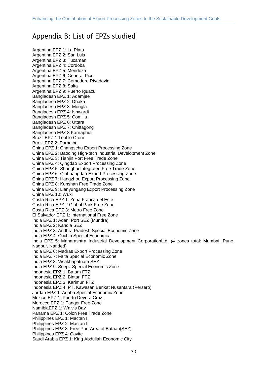## <span id="page-37-0"></span>Appendix B: List of EPZs studied

Argentina EPZ 1: La Plata Argentina EPZ 2: San Luis Argentina EPZ 3: Tucaman Argentina EPZ 4: Cordoba Argentina EPZ 5: Mendoza Argentina EPZ 6: General Pico Argentina EPZ 7: Comodoro Rivadavia Argentina EPZ 8: Salta Argentina EPZ 9: Puerto Iguazu Bangladesh EPZ 1: Adamjee Bangladesh EPZ 2: Dhaka Bangladesh EPZ 3: Mongla Bangladesh EPZ 4: Ishwardi Bangladesh EPZ 5: Comilla Bangladesh EPZ 6: Uttara Bangladesh EPZ 7: Chittagong Bangladesh EPZ 8 Karnaphuli Brazil EPZ 1:Teofilo Otoni Brazil EPZ 2: Parnaiba China EPZ 1: Changschu Export Processing Zone China EPZ 2: Baoding High-tech Industrial Development Zone China EPZ 3: Tianjin Port Free Trade Zone China EPZ 4: Qingdao Export Processing Zone China EPZ 5: Shanghai Integrated Free Trade Zone China EPZ 6: Qinhuangdao Export Processing Zone China EPZ 7: Hangzhou Export Processing Zone China EPZ 8: Kunshan Free Trade Zone China EPZ 9: Lianyungang Export Processing Zone China EPZ 10: Wuxi Costa Rica EPZ 1: Zona Franca del Este Costa Rica EPZ 2 Global Park Free Zone Costa Rica EPZ 3: Metro Free Zone El Salvador EPZ 1: International Free Zone India EPZ 1: Adani Port SEZ (Mundra) India EPZ 2: Kandla SEZ India EPZ 3: Andhra Pradesh Special Economic Zone India EPZ 4: Cochin Special Economic India EPZ 5: Maharashtra Industrial Development CorporationLtd, (4 zones total: Mumbai, Pune, Nagpur, Nanded) India EPZ 6: Madras Export Processing Zone India EPZ 7: Falta Special Economic Zone India EPZ 8: Visakhapatnam SEZ India EPZ 9: Seepz Special Economic Zone Indonesia EPZ 1: Batam FTZ Indonesia EPZ 2: Bintan FTZ Indonesia EPZ 3: Karimun FTZ Indonesia EPZ 4: PT. Kawasan Berikat Nusantara (Persero) Jordan EPZ 1: Aqaba Special Economic Zone Mexico EPZ 1: Puerto Devera Cruz: Morocco EPZ 1: Tanger Free Zone NamibiaEPZ 1: Walvis Bay Panama EPZ 1: Colon Free Trade Zone Philippines EPZ 1: Mactan I Philippines EPZ 2: Mactan II Philippines EPZ 3: Free Port Area of Bataan(SEZ) Philippines EPZ 4: Cavite Saudi Arabia EPZ 1: King Abdullah Economic City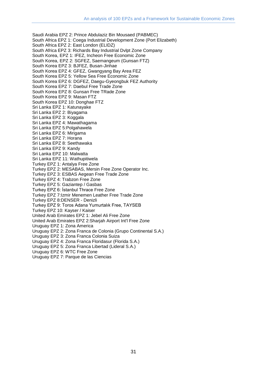Saudi Arabia EPZ 2: Prince Abdulaziz Bin Mousaed (PABMEC) South Africa EPZ 1: Coega Industrial Development Zone (Port Elizabeth) South Africa EPZ 2: East London (ELIDZ) South Africa EPZ 3: Richards Bay Industrial Dvlpt Zone Company South Korea, EPZ 1: IFEZ, Incheon Free Economic Zone South Korea, EPZ 2: SGFEZ, Saemangeum (Gunsan FTZ) South Korea EPZ 3: BJFEZ, Busan-Jinhae South Korea EPZ 4: GFEZ, Gwangyang Bay Area FEZ South Korea EPZ 5: Yellow Sea Free Economic Zone South Korea EPZ 6: DGFEZ, Daegu-Gyeongbuk FEZ Authority South Korea EPZ 7: Daebul Free Trade Zone South Korea EPZ 8: Gunsan Free TRade Zone South Korea EPZ 9: Masan FTZ South Korea EPZ 10: Donghae FTZ Sri Lanka EPZ 1: Katunayake Sri Lanka EPZ 2: Biyagama Sri Lanka EPZ 3: Koggala Sri Lanka EPZ 4: Mawathagama Sri Lanka EPZ 5:Polgahawela Sri Lanka EPZ 6: Mirigama Sri Lanka EPZ 7: Horana Sri Lanka EPZ 8: Seethawaka Sri Lanka EPZ 9: Kandy Sri Lanka EPZ 10: Malwatta Sri Lanka EPZ 11: Wathupitiwela Turkey EPZ 1: Antalya Free Zone Turkey EPZ 2: MESABAS, Mersin Free Zone Operator Inc. Turkey EPZ 3: ESBAS Aegean Free Trade Zone Turkey EPZ 4: Trabzon Free Zone Turkey EPZ 5: Gaziantep / Gasbas Turkey EPZ 6: İstanbul Thrace Free Zone Turkey EPZ 7:Izmir Menemen Leather Free Trade Zone Turkey EPZ 8:DENSER - Denizli Turkey EPZ 9: Toros Adana Yumurtalık Free, TAYSEB Turkey EPZ 10: Kayser / Kaiser United Arab Emirates EPZ 1: Jebel Ali Free Zone United Arab Emirates EPZ 2:Sharjah Airport Int'l Free Zone Uruguay EPZ 1: Zona America Uruguay EPZ 2: Zona Franca de Colonia (Grupo Continental S.A.) Uruguay EPZ 3: Zona Franca Colonia Suiza Uruguay EPZ 4: Zona Franca Floridasur (Florida S.A.) Uruguay EPZ 5: Zona Franca Libertad (Lideral S.A.) Uruguay EPZ 6: WTC Free Zone

Uruguay EPZ 7: Parque de las Ciencias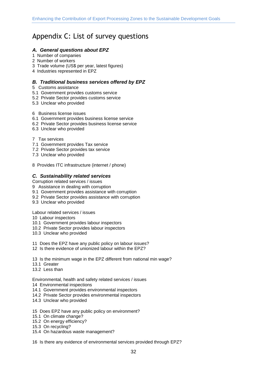# <span id="page-39-0"></span>Appendix C: List of survey questions

#### *A. General questions about EPZ*

- 1 Number of companies
- 2 Number of workers
- 3 Trade volume (US\$ per year, latest figures)
- 4 Industries represented in EPZ

#### *B. Traditional business services offered by EPZ*

- 5 Customs assistance
- 5.1 Government provides customs service
- 5.2 Private Sector provides customs service
- 5.3 Unclear who provided

#### 6 Business license issues

- 6.1 Government provides business license service
- 6.2 Private Sector provides business license service
- 6.3 Unclear who provided

#### 7 Tax services

- 7.1 Government provides Tax service
- 7.2 Private Sector provides tax service
- 7.3 Unclear who provided
- 8 Provides ITC infrastructure (internet / phone)

#### *C. Sustainability related services*

Corruption related services / issues

- 9 Assistance in dealing with corruption
- 9.1 Government provides assistance with corruption
- 9.2 Private Sector provides assistance with corruption
- 9.3 Unclear who provided

Labour related services / issues

- 10 Labour inspectors
- 10.1 Government provides labour inspectors
- 10.2 Private Sector provides labour inspectors
- 10.3 Unclear who provided

11 Does the EPZ have any public policy on labour issues?

12 Is there evidence of unionized labour within the EPZ?

13 Is the minimum wage in the EPZ different from national min wage?

- 13.1 Greater
- 13.2 Less than

Environmental, health and safety related services / issues

- 14 Environmental inspections
- 14.1 Government provides environmental inspectors
- 14.2 Private Sector provides environmental inspectors
- 14.3 Unclear who provided
- 15 Does EPZ have any public policy on environment?
- 15.1 On climate change?
- 15.2 On energy efficiency?
- 15.3 On recycling?
- 15.4 On hazardous waste management?

16 Is there any evidence of environmental services provided through EPZ?